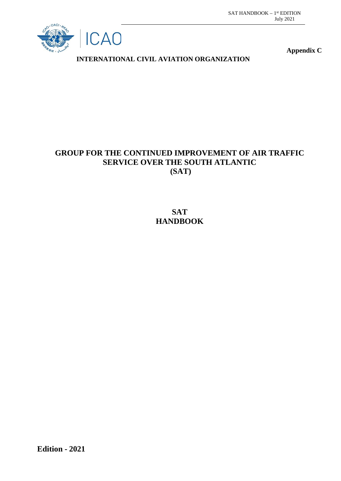

**Appendix C**

**INTERNATIONAL CIVIL AVIATION ORGANIZATION**

## **GROUP FOR THE CONTINUED IMPROVEMENT OF AIR TRAFFIC SERVICE OVER THE SOUTH ATLANTIC (SAT)**

**SAT HANDBOOK**

**Edition - 2021**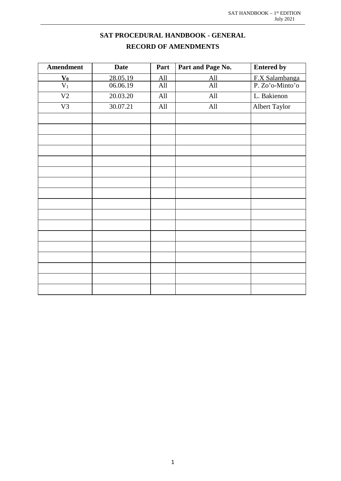## **SAT PROCEDURAL HANDBOOK - GENERAL RECORD OF AMENDMENTS**

<span id="page-1-0"></span>

| <b>Amendment</b>                    | <b>Date</b> | Part | Part and Page No. | <b>Entered by</b> |
|-------------------------------------|-------------|------|-------------------|-------------------|
|                                     | 28.05.19    | All  | All               | F.X Salambanga    |
| $\frac{\mathbf{V_0}}{\mathbf{V_1}}$ | 06.06.19    | All  | All               | P. Zo'o-Minto'o   |
| $\overline{V2}$                     | 20.03.20    | All  | All               | L. Bakienon       |
| V <sub>3</sub>                      | 30.07.21    | All  | All               | Albert Taylor     |
|                                     |             |      |                   |                   |
|                                     |             |      |                   |                   |
|                                     |             |      |                   |                   |
|                                     |             |      |                   |                   |
|                                     |             |      |                   |                   |
|                                     |             |      |                   |                   |
|                                     |             |      |                   |                   |
|                                     |             |      |                   |                   |
|                                     |             |      |                   |                   |
|                                     |             |      |                   |                   |
|                                     |             |      |                   |                   |
|                                     |             |      |                   |                   |
|                                     |             |      |                   |                   |
|                                     |             |      |                   |                   |
|                                     |             |      |                   |                   |
|                                     |             |      |                   |                   |
|                                     |             |      |                   |                   |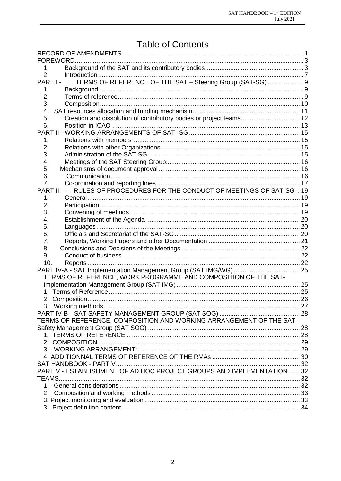# **Table of Contents**

| FOREWORD.                                                                 |      |
|---------------------------------------------------------------------------|------|
| 1.                                                                        |      |
| 2.                                                                        |      |
| TERMS OF REFERENCE OF THE SAT - Steering Group (SAT-SG)  9<br>PART I-     |      |
| 1.                                                                        |      |
| 2.                                                                        |      |
| 3.                                                                        |      |
| 4.                                                                        |      |
| Creation and dissolution of contributory bodies or project teams 12<br>5. |      |
| 6.                                                                        |      |
|                                                                           |      |
| 1.                                                                        |      |
| 2.                                                                        |      |
| 3.                                                                        |      |
| 4.                                                                        |      |
| 5                                                                         |      |
| 6.                                                                        |      |
| 7.                                                                        |      |
| RULES OF PROCEDURES FOR THE CONDUCT OF MEETINGS OF SAT-SG19<br>PART III - |      |
| 1.                                                                        |      |
| 2.                                                                        |      |
| 3.                                                                        |      |
| 4.                                                                        |      |
| 5.                                                                        |      |
| 6.                                                                        |      |
| 7.                                                                        |      |
| 8                                                                         |      |
| 9.                                                                        |      |
| 10.                                                                       |      |
|                                                                           |      |
| TERMS OF REFERENCE, WORK PROGRAMME AND COMPOSITION OF THE SAT-            |      |
|                                                                           |      |
|                                                                           |      |
|                                                                           |      |
| 3. Working methods                                                        | . 27 |
|                                                                           |      |
| TERMS OF REFERENCE, COMPOSITION AND WORKING ARRANGEMENT OF THE SAT        |      |
|                                                                           |      |
|                                                                           |      |
|                                                                           |      |
|                                                                           |      |
|                                                                           |      |
|                                                                           |      |
| PART V - ESTABLISHMENT OF AD HOC PROJECT GROUPS AND IMPLEMENTATION  32    |      |
|                                                                           |      |
|                                                                           |      |
|                                                                           |      |
|                                                                           |      |
|                                                                           |      |
|                                                                           |      |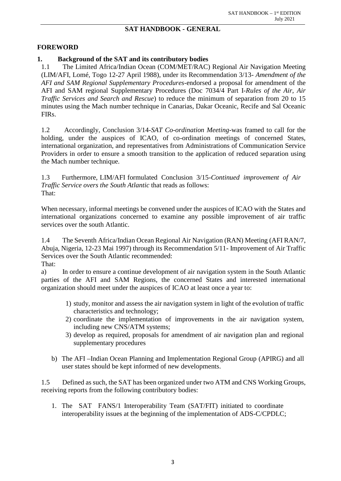#### **SAT HANDBOOK - GENERAL**

#### <span id="page-3-0"></span>**FOREWORD**

#### <span id="page-3-1"></span>**1. Background of the SAT and its contributory bodies**

1.1 The Limited Africa/Indian Ocean (COM/MET/RAC) Regional Air Navigation Meeting (LIM/AFI, Lomé, Togo 12-27 April 1988), under its Recommendation 3/13- *Amendment of the AFI and SAM Regional Supplementary Procedures-*endorsed a proposal for amendment of the AFI and SAM regional Supplementary Procedures (Doc 7034/4 Part I-*Rules of the Air, Air Traffic Services and Search and Rescue*) to reduce the minimum of separation from 20 to 15 minutes using the Mach number technique in Canarias, Dakar Oceanic, Recife and Sal Oceanic FIRs.

1.2 Accordingly, Conclusion 3/14-*SAT Co-ordination Meeting*-was framed to call for the holding, under the auspices of ICAO, of co-ordination meetings of concerned States, international organization, and representatives from Administrations of Communication Service Providers in order to ensure a smooth transition to the application of reduced separation using the Mach number technique.

1.3 Furthermore, LIM/AFI formulated Conclusion 3/15-*Continued improvement of Air Traffic Service overs the South Atlantic* that reads as follows: That:

When necessary, informal meetings be convened under the auspices of ICAO with the States and international organizations concerned to examine any possible improvement of air traffic services over the south Atlantic.

1.4 The Seventh Africa/Indian Ocean Regional Air Navigation (RAN) Meeting (AFI RAN/7, Abuja, Nigeria, 12-23 Mai 1997) through its Recommendation 5/11- Improvement of Air Traffic Services over the South Atlantic recommended:

That:

a) In order to ensure a continue development of air navigation system in the South Atlantic parties of the AFI and SAM Regions, the concerned States and interested international organization should meet under the auspices of ICAO at least once a year to:

- 1) study, monitor and assess the air navigation system in light of the evolution of traffic characteristics and technology;
- 2) coordinate the implementation of improvements in the air navigation system, including new CNS/ATM systems;
- 3) develop as required, proposals for amendment of air navigation plan and regional supplementary procedures
- b) The AFI –Indian Ocean Planning and Implementation Regional Group (APIRG) and all user states should be kept informed of new developments.

1.5 Defined as such, the SAT has been organized under two ATM and CNS Working Groups, receiving reports from the following contributory bodies:

1. The SAT FANS/1 Interoperability Team (SAT/FIT) initiated to coordinate interoperability issues at the beginning of the implementation of ADS-C/CPDLC;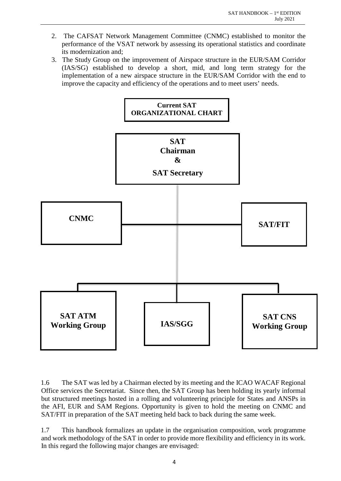- 2. The CAFSAT Network Management Committee (CNMC) established to monitor the performance of the VSAT network by assessing its operational statistics and coordinate its modernization and;
- 3. The Study Group on the improvement of Airspace structure in the EUR/SAM Corridor (IAS/SG) established to develop a short, mid, and long term strategy for the implementation of a new airspace structure in the EUR/SAM Corridor with the end to improve the capacity and efficiency of the operations and to meet users' needs.



1.6 The SAT was led by a Chairman elected by its meeting and the ICAO WACAF Regional Office services the Secretariat. Since then, the SAT Group has been holding its yearly informal but structured meetings hosted in a rolling and volunteering principle for States and ANSPs in the AFI, EUR and SAM Regions. Opportunity is given to hold the meeting on CNMC and SAT/FIT in preparation of the SAT meeting held back to back during the same week.

1.7 This handbook formalizes an update in the organisation composition, work programme and work methodology of the SAT in order to provide more flexibility and efficiency in its work. In this regard the following major changes are envisaged: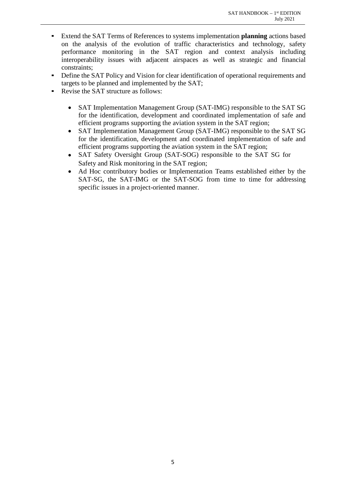- Extend the SAT Terms of References to systems implementation **planning** actions based on the analysis of the evolution of traffic characteristics and technology, safety performance monitoring in the SAT region and context analysis including interoperability issues with adjacent airspaces as well as strategic and financial constraints;
- Define the SAT Policy and Vision for clear identification of operational requirements and targets to be planned and implemented by the SAT;
- **•** Revise the SAT structure as follows:
	- SAT Implementation Management Group (SAT-IMG) responsible to the SAT SG for the identification, development and coordinated implementation of safe and efficient programs supporting the aviation system in the SAT region;
	- SAT Implementation Management Group (SAT-IMG) responsible to the SAT SG for the identification, development and coordinated implementation of safe and efficient programs supporting the aviation system in the SAT region;
	- SAT Safety Oversight Group (SAT-SOG) responsible to the SAT SG for Safety and Risk monitoring in the SAT region;
	- Ad Hoc contributory bodies or Implementation Teams established either by the SAT-SG, the SAT-IMG or the SAT-SOG from time to time for addressing specific issues in a project-oriented manner.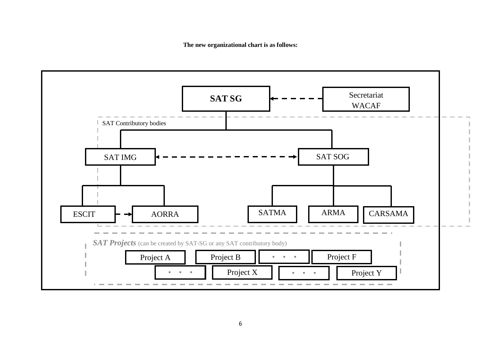**The new organizational chart is as follows:**

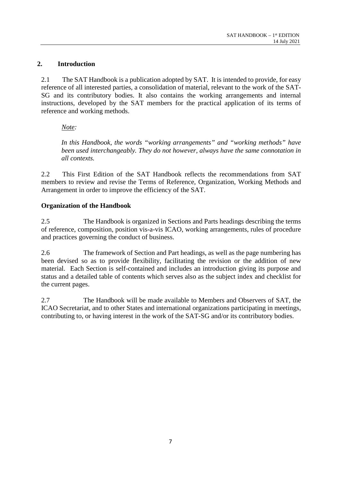#### <span id="page-7-0"></span>**2. Introduction**

2.1 The SAT Handbook is a publication adopted by SAT. It is intended to provide, for easy reference of all interested parties, a consolidation of material, relevant to the work of the SAT-SG and its contributory bodies. It also contains the working arrangements and internal instructions, developed by the SAT members for the practical application of its terms of reference and working methods.

#### *Note:*

*In this Handbook, the words "working arrangements" and "working methods" have been used interchangeably. They do not however, always have the same connotation in all contexts.*

2.2 This First Edition of the SAT Handbook reflects the recommendations from SAT members to review and revise the Terms of Reference, Organization, Working Methods and Arrangement in order to improve the efficiency of the SAT.

#### **Organization of the Handbook**

2.5 The Handbook is organized in Sections and Parts headings describing the terms of reference, composition, position vis-a-vis ICAO, working arrangements, rules of procedure and practices governing the conduct of business.

2.6 The framework of Section and Part headings, as well as the page numbering has been devised so as to provide flexibility, facilitating the revision or the addition of new material. Each Section is self-contained and includes an introduction giving its purpose and status and a detailed table of contents which serves also as the subject index and checklist for the current pages.

2.7 The Handbook will be made available to Members and Observers of SAT, the ICAO Secretariat, and to other States and international organizations participating in meetings, contributing to, or having interest in the work of the SAT-SG and/or its contributory bodies.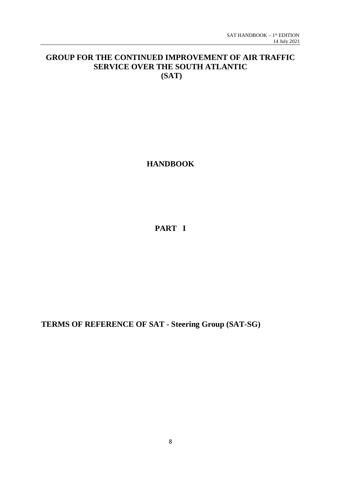## **GROUP FOR THE CONTINUED IMPROVEMENT OF AIR TRAFFIC SERVICE OVER THE SOUTH ATLANTIC (SAT)**

**HANDBOOK**

**PART I**

**TERMS OF REFERENCE OF SAT - Steering Group (SAT-SG)**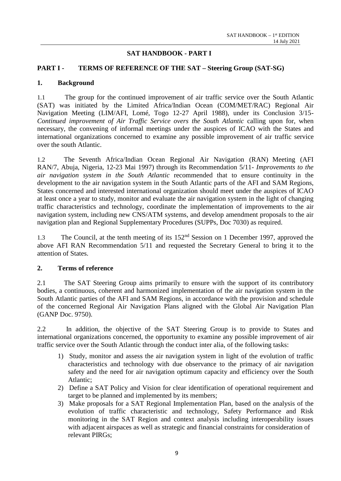#### **SAT HANDBOOK - PART I**

#### <span id="page-9-0"></span>**PART I - TERMS OF REFERENCE OF THE SAT – Steering Group (SAT-SG)**

#### <span id="page-9-1"></span>**1. Background**

1.1 The group for the continued improvement of air traffic service over the South Atlantic (SAT) was initiated by the Limited Africa/Indian Ocean (COM/MET/RAC) Regional Air Navigation Meeting (LIM/AFI, Lomé, Togo 12-27 April 1988), under its Conclusion 3/15- *Continued improvement of Air Traffic Service overs the South Atlantic* calling upon for, when necessary, the convening of informal meetings under the auspices of ICAO with the States and international organizations concerned to examine any possible improvement of air traffic service over the south Atlantic.

1.2 The Seventh Africa/Indian Ocean Regional Air Navigation (RAN) Meeting (AFI RAN/7, Abuja, Nigeria, 12-23 Mai 1997) through its Recommendation 5/11*- Improvements to the air navigation system in the South Atlantic* recommended that to ensure continuity in the development to the air navigation system in the South Atlantic parts of the AFI and SAM Regions, States concerned and interested international organization should meet under the auspices of ICAO at least once a year to study, monitor and evaluate the air navigation system in the light of changing traffic characteristics and technology, coordinate the implementation of improvements to the air navigation system, including new CNS/ATM systems, and develop amendment proposals to the air navigation plan and Regional Supplementary Procedures (SUPPs, Doc 7030) as required.

1.3 The Council, at the tenth meeting of its 152<sup>nd</sup> Session on 1 December 1997, approved the above AFI RAN Recommendation 5/11 and requested the Secretary General to bring it to the attention of States.

#### <span id="page-9-2"></span>**2. Terms of reference**

2.1 The SAT Steering Group aims primarily to ensure with the support of its contributory bodies, a continuous, coherent and harmonized implementation of the air navigation system in the South Atlantic parties of the AFI and SAM Regions, in accordance with the provision and schedule of the concerned Regional Air Navigation Plans aligned with the Global Air Navigation Plan (GANP Doc. 9750).

2.2 In addition, the objective of the SAT Steering Group is to provide to States and international organizations concerned, the opportunity to examine any possible improvement of air traffic service over the South Atlantic through the conduct inter alia, of the following tasks:

- 1) Study, monitor and assess the air navigation system in light of the evolution of traffic characteristics and technology with due observance to the primacy of air navigation safety and the need for air navigation optimum capacity and efficiency over the South Atlantic;
- 2) Define a SAT Policy and Vision for clear identification of operational requirement and target to be planned and implemented by its members;
- 3) Make proposals for a SAT Regional Implementation Plan, based on the analysis of the evolution of traffic characteristic and technology, Safety Performance and Risk monitoring in the SAT Region and context analysis including interoperability issues with adjacent airspaces as well as strategic and financial constraints for consideration of relevant PIRGs;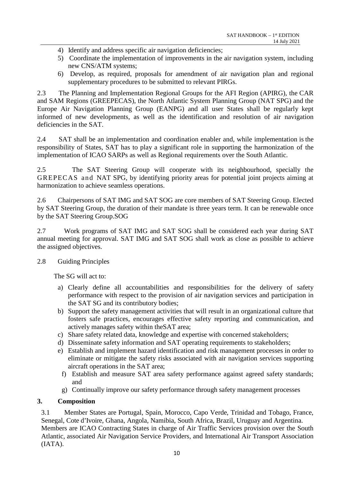- 4) Identify and address specific air navigation deficiencies;
- 5) Coordinate the implementation of improvements in the air navigation system, including new CNS/ATM systems;
- 6) Develop, as required, proposals for amendment of air navigation plan and regional supplementary procedures to be submitted to relevant PIRGs.

2.3 The Planning and Implementation Regional Groups for the AFI Region (APIRG), the CAR and SAM Regions (GREEPECAS), the North Atlantic System Planning Group (NAT SPG) and the Europe Air Navigation Planning Group (EANPG) and all user States shall be regularly kept informed of new developments, as well as the identification and resolution of air navigation deficiencies in the SAT.

2.4 SAT shall be an implementation and coordination enabler and, while implementation is the responsibility of States, SAT has to play a significant role in supporting the harmonization of the implementation of ICAO SARPs as well as Regional requirements over the South Atlantic.

2.5 The SAT Steering Group will cooperate with its neighbourhood, specially the GREPECAS and NAT SPG, by identifying priority areas for potential joint projects aiming at harmonization to achieve seamless operations.

2.6 Chairpersons of SAT IMG and SAT SOG are core members of SAT Steering Group. Elected by SAT Steering Group, the duration of their mandate is three years term. It can be renewable once by the SAT Steering Group.SOG

2.7 Work programs of SAT IMG and SAT SOG shall be considered each year during SAT annual meeting for approval. SAT IMG and SAT SOG shall work as close as possible to achieve the assigned objectives.

#### 2.8 Guiding Principles

The SG will act to:

- a) Clearly define all accountabilities and responsibilities for the delivery of safety performance with respect to the provision of air navigation services and participation in the SAT SG and its contributory bodies;
- b) Support the safety management activities that will result in an organizational culture that fosters safe practices, encourages effective safety reporting and communication, and actively manages safety within theSAT area;
- c) Share safety related data, knowledge and expertise with concerned stakeholders;
- d) Disseminate safety information and SAT operating requirements to stakeholders;
- e) Establish and implement hazard identification and risk management processes in order to eliminate or mitigate the safety risks associated with air navigation services supporting aircraft operations in the SAT area;
	- f) Establish and measure SAT area safety performance against agreed safety standards; and
	- g) Continually improve our safety performance through safety management processes

#### <span id="page-10-0"></span>**3. Composition**

3.1 Member States are Portugal, Spain, Morocco, Capo Verde, Trinidad and Tobago, France, Senegal, Cote d'Ivoire, Ghana, Angola, Namibia, South Africa, Brazil, Uruguay and Argentina. Members are ICAO Contracting States in charge of Air Traffic Services provision over the South Atlantic, associated Air Navigation Service Providers, and International Air Transport Association (IATA).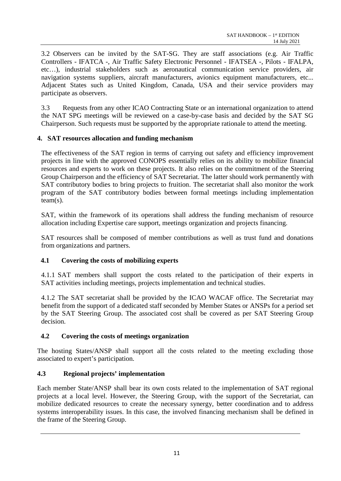3.2 Observers can be invited by the SAT-SG. They are staff associations (e.g. Air Traffic Controllers - IFATCA -, Air Traffic Safety Electronic Personnel - IFATSEA -, Pilots - IFALPA, etc…), industrial stakeholders such as aeronautical communication service providers, air navigation systems suppliers, aircraft manufacturers, avionics equipment manufacturers, etc... Adjacent States such as United Kingdom, Canada, USA and their service providers may participate as observers.

3.3Requests from any other ICAO Contracting State or an international organization to attend the NAT SPG meetings will be reviewed on a case-by-case basis and decided by the SAT SG Chairperson. Such requests must be supported by the appropriate rationale to attend the meeting.

#### <span id="page-11-0"></span>**4. SAT resources allocation and funding mechanism**

The effectiveness of the SAT region in terms of carrying out safety and efficiency improvement projects in line with the approved CONOPS essentially relies on its ability to mobilize financial resources and experts to work on these projects. It also relies on the commitment of the Steering Group Chairperson and the efficiency of SAT Secretariat. The latter should work permanently with SAT contributory bodies to bring projects to fruition. The secretariat shall also monitor the work program of the SAT contributory bodies between formal meetings including implementation team(s).

SAT, within the framework of its operations shall address the funding mechanism of resource allocation including Expertise care support, meetings organization and projects financing.

SAT resources shall be composed of member contributions as well as trust fund and donations from organizations and partners.

#### **4.1 Covering the costs of mobilizing experts**

4.1.1 SAT members shall support the costs related to the participation of their experts in SAT activities including meetings, projects implementation and technical studies.

4.1.2 The SAT secretariat shall be provided by the ICAO WACAF office. The Secretariat may benefit from the support of a dedicated staff seconded by Member States or ANSPs for a period set by the SAT Steering Group. The associated cost shall be covered as per SAT Steering Group decision.

#### **4.2 Covering the costs of meetings organization**

The hosting States/ANSP shall support all the costs related to the meeting excluding those associated to expert's participation.

#### **4.3 Regional projects' implementation**

Each member State/ANSP shall bear its own costs related to the implementation of SAT regional projects at a local level. However, the Steering Group, with the support of the Secretariat, can mobilize dedicated resources to create the necessary synergy, better coordination and to address systems interoperability issues. In this case, the involved financing mechanism shall be defined in the frame of the Steering Group.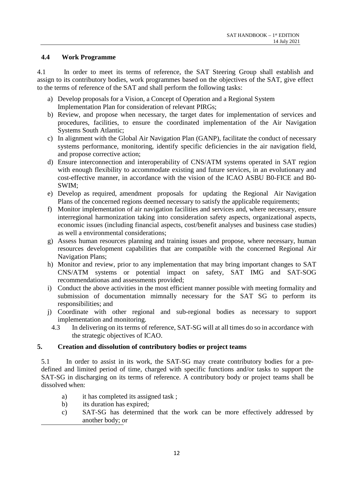#### **4.4 Work Programme**

4.1 In order to meet its terms of reference, the SAT Steering Group shall establish and assign to its contributory bodies, work programmes based on the objectives of the SAT, give effect to the terms of reference of the SAT and shall perform the following tasks:

- a) Develop proposals for a Vision, a Concept of Operation and a Regional System Implementation Plan for consideration of relevant PIRGs;
- b) Review, and propose when necessary, the target dates for implementation of services and procedures, facilities, to ensure the coordinated implementation of the Air Navigation Systems South Atlantic;
- c) In alignment with the Global Air Navigation Plan (GANP), facilitate the conduct of necessary systems performance, monitoring, identify specific deficiencies in the air navigation field, and propose corrective action;
- d) Ensure interconnection and interoperability of CNS/ATM systems operated in SAT region with enough flexibility to accommodate existing and future services, in an evolutionary and cost-effective manner, in accordance with the vision of the ICAO ASBU B0-FICE and B0- SWIM;
- e) Develop as required, amendment proposals for updating the Regional Air Navigation Plans of the concerned regions deemed necessary to satisfy the applicable requirements;
- f) Monitor implementation of air navigation facilities and services and, where necessary, ensure interregional harmonization taking into consideration safety aspects, organizational aspects, economic issues (including financial aspects, cost/benefit analyses and business case studies) as well a environmental considerations;
- g) Assess human resources planning and training issues and propose, where necessary, human resources development capabilities that are compatible with the concerned Regional Air Navigation Plans;
- h) Monitor and review, prior to any implementation that may bring important changes to SAT CNS/ATM systems or potential impact on safety, SAT IMG and SAT-SOG recommendationas and assessments provided;
- i) Conduct the above activities in the most efficient manner possible with meeting formality and submission of documentation mimnally necessary for the SAT SG to perform its responsibilities; and
- j) Coordinate with other regional and sub-regional bodies as necessary to support implementation and monitoring.
	- 4.3 In delivering on its terms of reference, SAT-SG will at all times do so in accordance with the strategic objectives of ICAO.

#### <span id="page-12-0"></span>**5. Creation and dissolution of contributory bodies or project teams**

5.1 In order to assist in its work, the SAT-SG may create contributory bodies for a predefined and limited period of time, charged with specific functions and/or tasks to support the SAT-SG in discharging on its terms of reference. A contributory body or project teams shall be dissolved when:

- a) it has completed its assigned task;
- b) its duration has expired;
- c) SAT-SG has determined that the work can be more effectively addressed by another body; or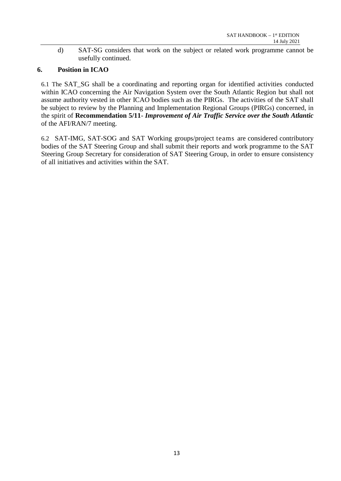d) SAT-SG considers that work on the subject or related work programme cannot be usefully continued.

#### <span id="page-13-0"></span>**6. Position in ICAO**

6.1 The SAT\_SG shall be a coordinating and reporting organ for identified activities conducted within ICAO concerning the Air Navigation System over the South Atlantic Region but shall not assume authority vested in other ICAO bodies such as the PIRGs. The activities of the SAT shall be subject to review by the Planning and Implementation Regional Groups (PIRGs) concerned, in the spirit of **Recommendation 5/11**- *Improvement of Air Traffic Service over the South Atlantic* of the AFI/RAN/7 meeting.

6.2 SAT-IMG, SAT-SOG and SAT Working groups/project teams are considered contributory bodies of the SAT Steering Group and shall submit their reports and work programme to the SAT Steering Group Secretary for consideration of SAT Steering Group, in order to ensure consistency of all initiatives and activities within the SAT.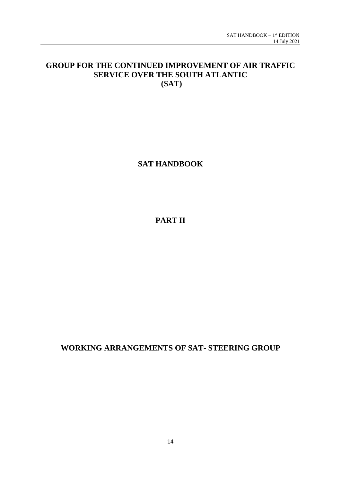## **GROUP FOR THE CONTINUED IMPROVEMENT OF AIR TRAFFIC SERVICE OVER THE SOUTH ATLANTIC (SAT)**

**SAT HANDBOOK**

**PART II**

**WORKING ARRANGEMENTS OF SAT- STEERING GROUP**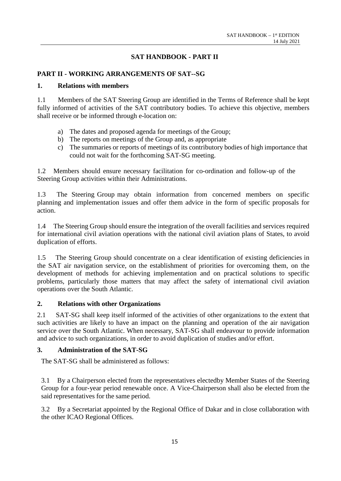#### **SAT HANDBOOK - PART II**

#### <span id="page-15-0"></span>**PART II - WORKING ARRANGEMENTS OF SAT--SG**

#### <span id="page-15-1"></span>**1. Relations with members**

1.1 Members of the SAT Steering Group are identified in the Terms of Reference shall be kept fully informed of activities of the SAT contributory bodies. To achieve this objective, members shall receive or be informed through e-location on:

- a) The dates and proposed agenda for meetings of the Group;
- b) The reports on meetings of the Group and, as appropriate
- c) The summaries or reports of meetings of its contributory bodies of high importance that could not wait for the forthcoming SAT-SG meeting.

1.2 Members should ensure necessary facilitation for co-ordination and follow-up of the Steering Group activities within their Administrations.

1.3 The Steering Group may obtain information from concerned members on specific planning and implementation issues and offer them advice in the form of specific proposals for action.

1.4 The Steering Group should ensure the integration of the overall facilities and services required for international civil aviation operations with the national civil aviation plans of States, to avoid duplication of efforts.

1.5 The Steering Group should concentrate on a clear identification of existing deficiencies in the SAT air navigation service, on the establishment of priorities for overcoming them, on the development of methods for achieving implementation and on practical solutions to specific problems, particularly those matters that may affect the safety of international civil aviation operations over the South Atlantic.

#### <span id="page-15-2"></span>**2. Relations with other Organizations**

2.1 SAT-SG shall keep itself informed of the activities of other organizations to the extent that such activities are likely to have an impact on the planning and operation of the air navigation service over the South Atlantic. When necessary, SAT-SG shall endeavour to provide information and advice to such organizations, in order to avoid duplication of studies and/or effort.

#### <span id="page-15-3"></span>**3. Administration of the SAT-SG**

The SAT-SG shall be administered as follows:

3.1 By a Chairperson elected from the representatives electedby Member States of the Steering Group for a four-year period renewable once. A Vice-Chairperson shall also be elected from the said representatives for the same period.

3.2 By a Secretariat appointed by the Regional Office of Dakar and in close collaboration with the other ICAO Regional Offices.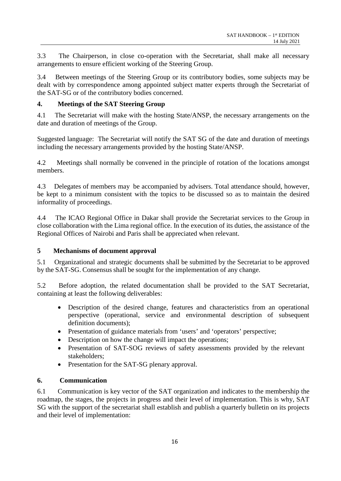3.3 The Chairperson, in close co-operation with the Secretariat, shall make all necessary arrangements to ensure efficient working of the Steering Group.

3.4 Between meetings of the Steering Group or its contributory bodies, some subjects may be dealt with by correspondence among appointed subject matter experts through the Secretariat of the SAT-SG or of the contributory bodies concerned.

#### <span id="page-16-0"></span>**4. Meetings of the SAT Steering Group**

4.1 The Secretariat will make with the hosting State/ANSP, the necessary arrangements on the date and duration of meetings of the Group.

Suggested language: The Secretariat will notify the SAT SG of the date and duration of meetings including the necessary arrangements provided by the hosting State/ANSP.

4.2 Meetings shall normally be convened in the principle of rotation of the locations amongst members.

4.3 Delegates of members may be accompanied by advisers. Total attendance should, however, be kept to a minimum consistent with the topics to be discussed so as to maintain the desired informality of proceedings.

4.4 The ICAO Regional Office in Dakar shall provide the Secretariat services to the Group in close collaboration with the Lima regional office. In the execution of its duties, the assistance of the Regional Offices of Nairobi and Paris shall be appreciated when relevant.

#### <span id="page-16-1"></span>**5 Mechanisms of document approval**

5.1 Organizational and strategic documents shall be submitted by the Secretariat to be approved by the SAT-SG. Consensus shall be sought for the implementation of any change.

5.2 Before adoption, the related documentation shall be provided to the SAT Secretariat, containing at least the following deliverables:

- Description of the desired change, features and characteristics from an operational perspective (operational, service and environmental description of subsequent definition documents);
- Presentation of guidance materials from 'users' and 'operators' perspective;
- Description on how the change will impact the operations;
- Presentation of SAT-SOG reviews of safety assessments provided by the relevant stakeholders;
- Presentation for the SAT-SG plenary approval.

### <span id="page-16-2"></span>**6. Communication**

6.1 Communication is key vector of the SAT organization and indicates to the membership the roadmap, the stages, the projects in progress and their level of implementation. This is why, SAT SG with the support of the secretariat shall establish and publish a quarterly bulletin on its projects and their level of implementation: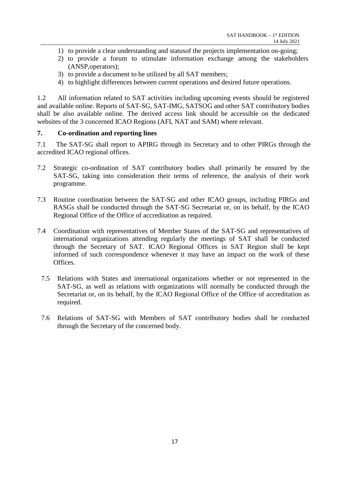- 1) to provide a clear understanding and statusof the projects implementation on-going;
- 2) to provide a forum to stimulate information exchange among the stakeholders (ANSP,operators);
- 3) to provide a document to be utilized by all SAT members;
- 4) to highlight differences between current operations and desired future operations.

1.2 All information related to SAT activities including upcoming events should be registered and available online. Reports of SAT-SG, SAT-IMG, SATSOG and other SAT contributory bodies shall be also available online. The derived access link should be accessible on the dedicated websites of the 3 concerned ICAO Regions (AFI, NAT and SAM) where relevant.

#### <span id="page-17-0"></span>**7. Co-ordination and reporting lines**

7.1 The SAT-SG shall report to APIRG through its Secretary and to other PIRGs through the accredited ICAO regional offices.

- 7.2 Strategic co-ordination of SAT contributory bodies shall primarily be ensured by the SAT-SG, taking into consideration their terms of reference, the analysis of their work programme.
- 7.3 Routine coordination between the SAT-SG and other ICAO groups, including PIRGs and RASGs shall be conducted through the SAT-SG Secretariat or, on its behalf, by the ICAO Regional Office of the Office of accreditation as required.
- 7.4 Coordination with representatives of Member States of the SAT-SG and representatives of international organizations attending regularly the meetings of SAT shall be conducted through the Secretary of SAT. ICAO Regional Offices in SAT Region shall be kept informed of such correspondence whenever it may have an impact on the work of these Offices.
	- 7.5 Relations with States and international organizations whether or not represented in the SAT-SG, as well as relations with organizations will normally be conducted through the Secretariat or, on its behalf, by the ICAO Regional Office of the Office of accreditation as required.
	- 7.6 Relations of SAT-SG with Members of SAT contributory bodies shall be conducted through the Secretary of the concerned body.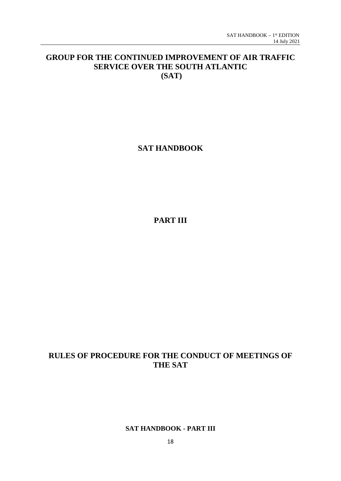## **GROUP FOR THE CONTINUED IMPROVEMENT OF AIR TRAFFIC SERVICE OVER THE SOUTH ATLANTIC (SAT)**

## **SAT HANDBOOK**

**PART III**

## **RULES OF PROCEDURE FOR THE CONDUCT OF MEETINGS OF THE SAT**

#### **SAT HANDBOOK - PART III**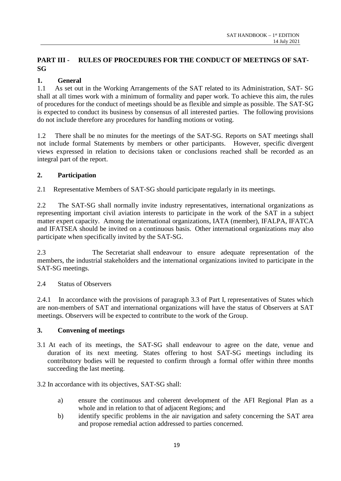### <span id="page-19-0"></span>**PART III - RULES OF PROCEDURES FOR THE CONDUCT OF MEETINGS OF SAT-SG**

#### <span id="page-19-1"></span>**1. General**

1.1 As set out in the Working Arrangements of the SAT related to its Administration, SAT- SG shall at all times work with a minimum of formality and paper work. To achieve this aim, the rules of procedures for the conduct of meetings should be as flexible and simple as possible. The SAT-SG is expected to conduct its business by consensus of all interested parties. The following provisions do not include therefore any procedures for handling motions or voting.

1.2 There shall be no minutes for the meetings of the SAT-SG. Reports on SAT meetings shall not include formal Statements by members or other participants. However, specific divergent views expressed in relation to decisions taken or conclusions reached shall be recorded as an integral part of the report.

#### <span id="page-19-2"></span>**2. Participation**

2.1 Representative Members of SAT-SG should participate regularly in its meetings.

2.2 The SAT-SG shall normally invite industry representatives, international organizations as representing important civil aviation interests to participate in the work of the SAT in a subject matter expert capacity. Among the international organizations, IATA (member), IFALPA, IFATCA and IFATSEA should be invited on a continuous basis. Other international organizations may also participate when specifically invited by the SAT-SG.

2.3 The Secretariat shall endeavour to ensure adequate representation of the members, the industrial stakeholders and the international organizations invited to participate in the SAT-SG meetings.

#### 2.4 Status of Observers

2.4.1 In accordance with the provisions of paragraph 3.3 of Part I, representatives of States which are non-members of SAT and international organizations will have the status of Observers at SAT meetings. Observers will be expected to contribute to the work of the Group.

#### <span id="page-19-3"></span>**3. Convening of meetings**

3.1 At each of its meetings, the SAT-SG shall endeavour to agree on the date, venue and duration of its next meeting. States offering to host SAT-SG meetings including its contributory bodies will be requested to confirm through a formal offer within three months succeeding the last meeting.

#### 3.2 In accordance with its objectives, SAT-SG shall:

- a) ensure the continuous and coherent development of the AFI Regional Plan as a whole and in relation to that of adjacent Regions; and
- b) identify specific problems in the air navigation and safety concerning the SAT area and propose remedial action addressed to parties concerned.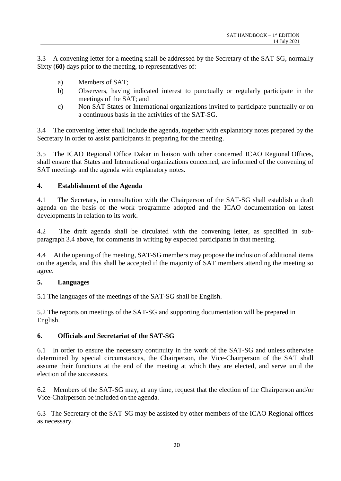3.3 A convening letter for a meeting shall be addressed by the Secretary of the SAT-SG, normally Sixty (**60)** days prior to the meeting, to representatives of:

- a) Members of SAT;
- b) Observers, having indicated interest to punctually or regularly participate in the meetings of the SAT; and
- c) Non SAT States or International organizations invited to participate punctually or on a continuous basis in the activities of the SAT-SG.

3.4 The convening letter shall include the agenda, together with explanatory notes prepared by the Secretary in order to assist participants in preparing for the meeting.

3.5 The ICAO Regional Office Dakar in liaison with other concerned ICAO Regional Offices, shall ensure that States and International organizations concerned, are informed of the convening of SAT meetings and the agenda with explanatory notes.

#### <span id="page-20-0"></span>**4. Establishment of the Agenda**

4.1 The Secretary, in consultation with the Chairperson of the SAT-SG shall establish a draft agenda on the basis of the work programme adopted and the ICAO documentation on latest developments in relation to its work.

4.2 The draft agenda shall be circulated with the convening letter, as specified in subparagraph 3.4 above, for comments in writing by expected participants in that meeting.

4.4 At the opening of the meeting, SAT-SG members may propose the inclusion of additional items on the agenda, and this shall be accepted if the majority of SAT members attending the meeting so agree.

#### <span id="page-20-1"></span>**5. Languages**

5.1 The languages of the meetings of the SAT-SG shall be English.

5.2 The reports on meetings of the SAT-SG and supporting documentation will be prepared in English.

#### <span id="page-20-2"></span>**6. Officials and Secretariat of the SAT-SG**

6.1 In order to ensure the necessary continuity in the work of the SAT-SG and unless otherwise determined by special circumstances, the Chairperson, the Vice-Chairperson of the SAT shall assume their functions at the end of the meeting at which they are elected, and serve until the election of the successors.

6.2 Members of the SAT-SG may, at any time, request that the election of the Chairperson and/or Vice-Chairperson be included on the agenda.

6.3 The Secretary of the SAT-SG may be assisted by other members of the ICAO Regional offices as necessary.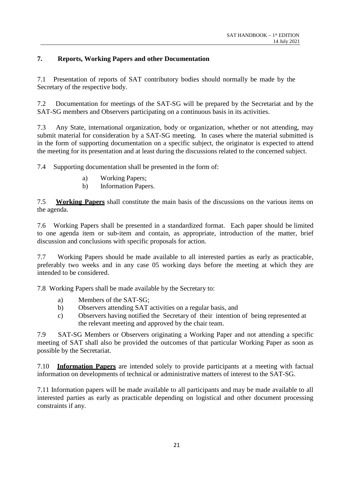#### <span id="page-21-0"></span>**7. Reports, Working Papers and other Documentation**

7.1 Presentation of reports of SAT contributory bodies should normally be made by the Secretary of the respective body.

7.2 Documentation for meetings of the SAT-SG will be prepared by the Secretariat and by the SAT-SG members and Observers participating on a continuous basis in its activities.

7.3 Any State, international organization, body or organization, whether or not attending, may submit material for consideration by a SAT-SG meeting. In cases where the material submitted is in the form of supporting documentation on a specific subject, the originator is expected to attend the meeting for its presentation and at least during the discussions related to the concerned subject.

7.4 Supporting documentation shall be presented in the form of:

- a) Working Papers;
- b) Information Papers.

7.5 **Working Papers** shall constitute the main basis of the discussions on the various items on the agenda.

7.6 Working Papers shall be presented in a standardized format. Each paper should be limited to one agenda item or sub-item and contain, as appropriate, introduction of the matter, brief discussion and conclusions with specific proposals for action.

7.7 Working Papers should be made available to all interested parties as early as practicable, preferably two weeks and in any case 05 working days before the meeting at which they are intended to be considered.

7.8 Working Papers shall be made available by the Secretary to:

- a) Members of the SAT-SG;
- b) Observers attending SAT activities on a regular basis, and
- c) Observers having notified the Secretary of their intention of being represented at the relevant meeting and approved by the chair team.

7.9 SAT-SG Members or Observers originating a Working Paper and not attending a specific meeting of SAT shall also be provided the outcomes of that particular Working Paper as soon as possible by the Secretariat.

7.10 **Information Papers** are intended solely to provide participants at a meeting with factual information on developments of technical or administrative matters of interest to the SAT-SG.

7.11 Information papers will be made available to all participants and may be made available to all interested parties as early as practicable depending on logistical and other document processing constraints if any.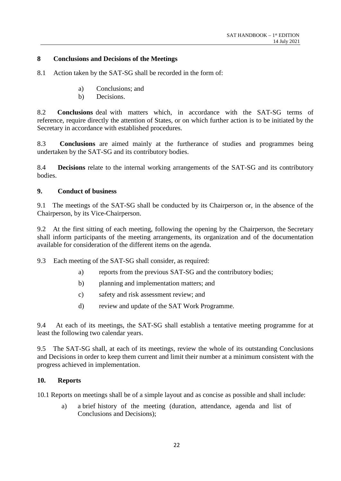#### <span id="page-22-0"></span>**8 Conclusions and Decisions of the Meetings**

8.1 Action taken by the SAT-SG shall be recorded in the form of:

- a) Conclusions; and
- b) Decisions.

8.2 **Conclusions** deal with matters which, in accordance with the SAT-SG terms of reference, require directly the attention of States, or on which further action is to be initiated by the Secretary in accordance with established procedures.

8.3 **Conclusions** are aimed mainly at the furtherance of studies and programmes being undertaken by the SAT-SG and its contributory bodies.

8.4 **Decisions** relate to the internal working arrangements of the SAT-SG and its contributory bodies.

#### <span id="page-22-1"></span>**9. Conduct of business**

9.1 The meetings of the SAT-SG shall be conducted by its Chairperson or, in the absence of the Chairperson, by its Vice-Chairperson.

9.2 At the first sitting of each meeting, following the opening by the Chairperson, the Secretary shall inform participants of the meeting arrangements, its organization and of the documentation available for consideration of the different items on the agenda.

9.3 Each meeting of the SAT-SG shall consider, as required:

- a) reports from the previous SAT-SG and the contributory bodies;
- b) planning and implementation matters; and
- c) safety and risk assessment review; and
- d) review and update of the SAT Work Programme.

9.4 At each of its meetings, the SAT-SG shall establish a tentative meeting programme for at least the following two calendar years.

9.5 The SAT-SG shall, at each of its meetings, review the whole of its outstanding Conclusions and Decisions in order to keep them current and limit their number at a minimum consistent with the progress achieved in implementation.

#### <span id="page-22-2"></span>**10. Reports**

10.1 Reports on meetings shall be of a simple layout and as concise as possible and shall include:

a) a brief history of the meeting (duration, attendance, agenda and list of Conclusions and Decisions);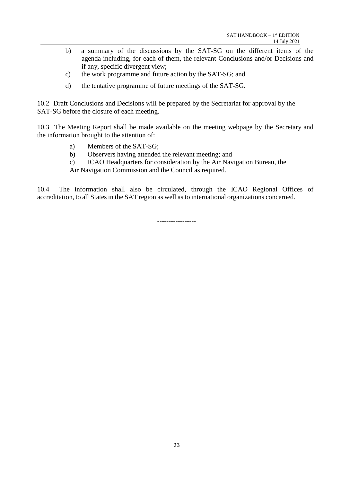- b) a summary of the discussions by the SAT-SG on the different items of the agenda including, for each of them, the relevant Conclusions and/or Decisions and if any, specific divergent view;
- c) the work programme and future action by the SAT-SG; and
- d) the tentative programme of future meetings of the SAT-SG.

10.2 Draft Conclusions and Decisions will be prepared by the Secretariat for approval by the SAT-SG before the closure of each meeting.

10.3 The Meeting Report shall be made available on the meeting webpage by the Secretary and the information brought to the attention of:

- a) Members of the SAT-SG;
- b) Observers having attended the relevant meeting; and
- c) ICAO Headquarters for consideration by the Air Navigation Bureau, the

Air Navigation Commission and the Council as required.

10.4 The information shall also be circulated, through the ICAO Regional Offices of accreditation, to all States in the SAT region as well as to international organizations concerned.

**-----------------**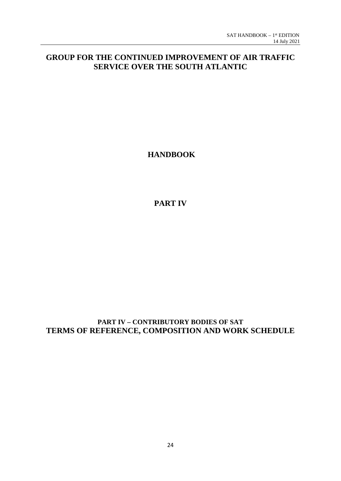## **GROUP FOR THE CONTINUED IMPROVEMENT OF AIR TRAFFIC SERVICE OVER THE SOUTH ATLANTIC**

**HANDBOOK**

**PART IV**

**PART IV – CONTRIBUTORY BODIES OF SAT TERMS OF REFERENCE, COMPOSITION AND WORK SCHEDULE**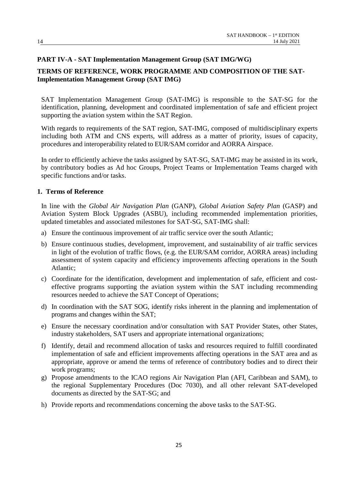#### <span id="page-25-0"></span>**PART IV-A - SAT Implementation Management Group (SAT IMG/WG)**

#### <span id="page-25-1"></span>**TERMS OF REFERENCE, WORK PROGRAMME AND COMPOSITION OF THE SAT-Implementation Management Group (SAT IMG)**

SAT Implementation Management Group (SAT-IMG) is responsible to the SAT-SG for the identification, planning, development and coordinated implementation of safe and efficient project supporting the aviation system within the SAT Region.

With regards to requirements of the SAT region, SAT-IMG, composed of multidisciplinary experts including both ATM and CNS experts, will address as a matter of priority, issues of capacity, procedures and interoperability related to EUR/SAM corridor and AORRA Airspace.

In order to efficiently achieve the tasks assigned by SAT-SG, SAT-IMG may be assisted in its work, by contributory bodies as Ad hoc Groups, Project Teams or Implementation Teams charged with specific functions and/or tasks.

#### <span id="page-25-2"></span>**1. Terms of Reference**

In line with the *Global Air Navigation Plan* (GANP), *Global Aviation Safety Plan* (GASP) and Aviation System Block Upgrades (ASBU), including recommended implementation priorities, updated timetables and associated milestones for SAT-SG, SAT-IMG shall:

- a) Ensure the continuous improvement of air traffic service over the south Atlantic;
- b) Ensure continuous studies, development, improvement, and sustainability of air traffic services in light of the evolution of traffic flows, (e.g. the EUR/SAM corridor, AORRA areas) including assessment of system capacity and efficiency improvements affecting operations in the South Atlantic;
- c) Coordinate for the identification, development and implementation of safe, efficient and costeffective programs supporting the aviation system within the SAT including recommending resources needed to achieve the SAT Concept of Operations;
- d) In coordination with the SAT SOG, identify risks inherent in the planning and implementation of programs and changes within the SAT;
- e) Ensure the necessary coordination and/or consultation with SAT Provider States, other States, industry stakeholders, SAT users and appropriate international organizations;
- f) Identify, detail and recommend allocation of tasks and resources required to fulfill coordinated implementation of safe and efficient improvements affecting operations in the SAT area and as appropriate, approve or amend the terms of reference of contributory bodies and to direct their work programs;
- g) Propose amendments to the ICAO regions Air Navigation Plan (AFI, Caribbean and SAM), to the regional Supplementary Procedures (Doc 7030), and all other relevant SAT-developed documents as directed by the SAT-SG; and
- h) Provide reports and recommendations concerning the above tasks to the SAT-SG.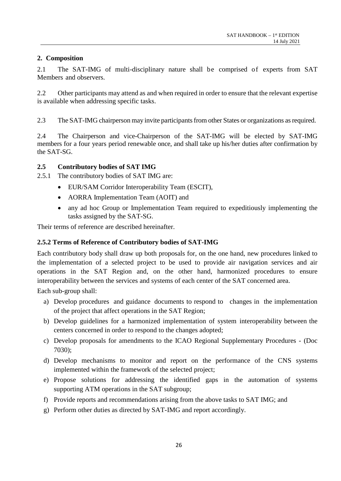#### <span id="page-26-0"></span>**2. Composition**

2.1 The SAT-IMG of multi-disciplinary nature shall be comprised of experts from SAT Members and observers.

2.2 Other participants may attend as and when required in order to ensure that the relevant expertise is available when addressing specific tasks.

2.3 The SAT-IMG chairperson may invite participants from other States or organizations as required.

2.4 The Chairperson and vice-Chairperson of the SAT-IMG will be elected by SAT-IMG members for a four years period renewable once, and shall take up his/her duties after confirmation by the SAT-SG.

#### **2.5 Contributory bodies of SAT IMG**

- 2.5.1 The contributory bodies of SAT IMG are:
	- EUR/SAM Corridor Interoperability Team (ESCIT),
	- AORRA Implementation Team (AOIT) and
	- any ad hoc Group or Implementation Team required to expeditiously implementing the tasks assigned by the SAT-SG.

Their terms of reference are described hereinafter.

#### **2.5.2 Terms of Reference of Contributory bodies of SAT-IMG**

Each contributory body shall draw up both proposals for, on the one hand, new procedures linked to the implementation of a selected project to be used to provide air navigation services and air operations in the SAT Region and, on the other hand, harmonized procedures to ensure interoperability between the services and systems of each center of the SAT concerned area.

Each sub-group shall:

- a) Develop procedures and guidance documents to respond to changes in the implementation of the project that affect operations in the SAT Region;
- b) Develop guidelines for a harmonized implementation of system interoperability between the centers concerned in order to respond to the changes adopted;
- c) Develop proposals for amendments to the ICAO Regional Supplementary Procedures (Doc 7030);
- d) Develop mechanisms to monitor and report on the performance of the CNS systems implemented within the framework of the selected project;
- e) Propose solutions for addressing the identified gaps in the automation of systems supporting ATM operations in the SAT subgroup;
- f) Provide reports and recommendations arising from the above tasks to SAT IMG; and
- g) Perform other duties as directed by SAT-IMG and report accordingly.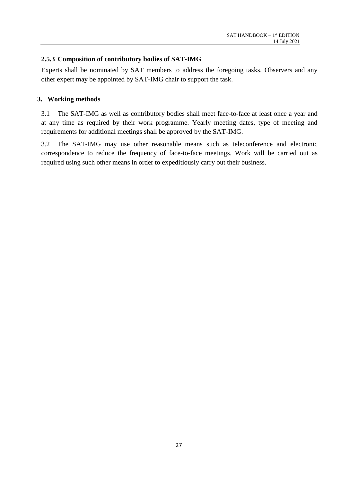#### **2.5.3 Composition of contributory bodies of SAT-IMG**

Experts shall be nominated by SAT members to address the foregoing tasks. Observers and any other expert may be appointed by SAT-IMG chair to support the task.

#### <span id="page-27-0"></span>**3. Working methods**

3.1 The SAT-IMG as well as contributory bodies shall meet face-to-face at least once a year and at any time as required by their work programme. Yearly meeting dates, type of meeting and requirements for additional meetings shall be approved by the SAT-IMG.

3.2 The SAT-IMG may use other reasonable means such as teleconference and electronic correspondence to reduce the frequency of face-to-face meetings. Work will be carried out as required using such other means in order to expeditiously carry out their business.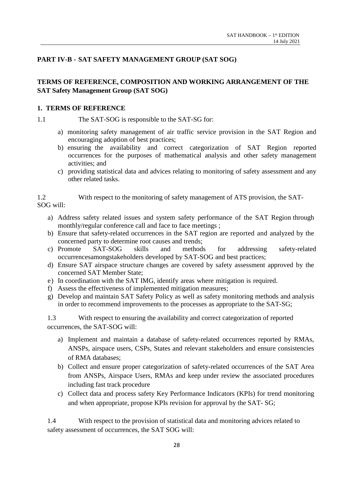#### <span id="page-28-0"></span>**PART IV-B - SAT SAFETY MANAGEMENT GROUP (SAT SOG)**

### <span id="page-28-1"></span>**TERMS OF REFERENCE, COMPOSITION AND WORKING ARRANGEMENT OF THE SAT Safety Management Group (SAT SOG)**

#### <span id="page-28-2"></span>**1. TERMS OF REFERENCE**

1.1 The SAT-SOG is responsible to the SAT-SG for:

- a) monitoring safety management of air traffic service provision in the SAT Region and encouraging adoption of best practices;
- b) ensuring the availability and correct categorization of SAT Region reported occurrences for the purposes of mathematical analysis and other safety management activities; and
- c) providing statistical data and advices relating to monitoring of safety assessment and any other related tasks.

1.2 With respect to the monitoring of safety management of ATS provision, the SAT-SOG will:

- a) Address safety related issues and system safety performance of the SAT Region through monthly/regular conference call and face to face meetings ;
- b) Ensure that safety-related occurrences in the SAT region are reported and analyzed by the concerned party to determine root causes and trends;
- c) Promote SAT-SOG skills and methods for addressing safety-related occurrencesamongstakeholders developed by SAT-SOG and best practices;
- d) Ensure SAT airspace structure changes are covered by safety assessment approved by the concerned SAT Member State;
- e) In coordination with the SAT IMG, identify areas where mitigation is required.
- f) Assess the effectiveness of implemented mitigation measures;
- g) Develop and maintain SAT Safety Policy as well as safety monitoring methods and analysis in order to recommend improvements to the processes as appropriate to the SAT-SG;

1.3 With respect to ensuring the availability and correct categorization of reported occurrences, the SAT-SOG will:

- a) Implement and maintain a database of safety-related occurrences reported by RMAs, ANSPs, airspace users, CSPs, States and relevant stakeholders and ensure consistencies of RMA databases;
- b) Collect and ensure proper categorization of safety-related occurrences of the SAT Area from ANSPs, Airspace Users, RMAs and keep under review the associated procedures including fast track procedure
- c) Collect data and process safety Key Performance Indicators (KPIs) for trend monitoring and when appropriate, propose KPIs revision for approval by the SAT- SG;

1.4 With respect to the provision of statistical data and monitoring advices related to safety assessment of occurrences, the SAT SOG will: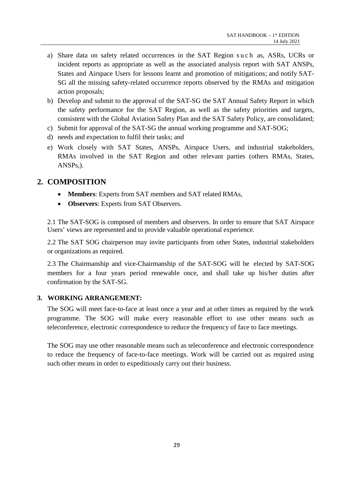- a) Share data on safety related occurrences in the SAT Region such as, ASRs, UCRs or incident reports as appropriate as well as the associated analysis report with SAT ANSPs, States and Airspace Users for lessons learnt and promotion of mitigations; and notify SAT-SG all the missing safety-related occurrence reports observed by the RMAs and mitigation action proposals;
- b) Develop and submit to the approval of the SAT-SG the SAT Annual Safety Report in which the safety performance for the SAT Region, as well as the safety priorities and targets, consistent with the Global Aviation Safety Plan and the SAT Safety Policy, are consolidated;
- c) Submit for approval of the SAT-SG the annual working programme and SAT-SOG;
- d) needs and expectation to fulfil their tasks; and
- e) Work closely with SAT States, ANSPs, Airspace Users, and industrial stakeholders, RMAs involved in the SAT Region and other relevant parties (others RMAs, States, ANSPs,).

#### <span id="page-29-0"></span>**2. COMPOSITION**

- **Members**: Experts from SAT members and SAT related RMAs,
- **Observers**: Experts from SAT Observers.

2.1 The SAT-SOG is composed of members and observers. In order to ensure that SAT Airspace Users' views are represented and to provide valuable operational experience.

2.2 The SAT SOG chairperson may invite participants from other States, industrial stakeholders or organizations as required.

2.3 The Chairmanship and vice-Chairmanship of the SAT-SOG will be elected by SAT-SOG members for a four years period renewable once, and shall take up his/her duties after confirmation by the SAT-SG.

#### <span id="page-29-1"></span>**3. WORKING ARRANGEMENT:**

The SOG will meet face-to-face at least once a year and at other times as required by the work programme. The SOG will make every reasonable effort to use other means such as teleconference, electronic correspondence to reduce the frequency of face to face meetings.

The SOG may use other reasonable means such as teleconference and electronic correspondence to reduce the frequency of face-to-face meetings. Work will be carried out as required using such other means in order to expeditiously carry out their business.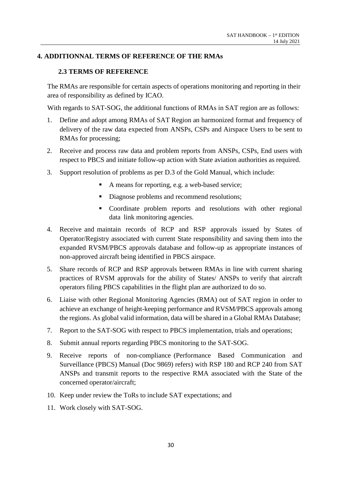#### <span id="page-30-0"></span>**4. ADDITIONNAL TERMS OF REFERENCE OF THE RMAs**

#### **2.3 TERMS OF REFERENCE**

The RMAs are responsible for certain aspects of operations monitoring and reporting in their area of responsibility as defined by ICAO.

With regards to SAT-SOG, the additional functions of RMAs in SAT region are as follows:

- 1. Define and adopt among RMAs of SAT Region an harmonized format and frequency of delivery of the raw data expected from ANSPs, CSPs and Airspace Users to be sent to RMAs for processing;
- 2. Receive and process raw data and problem reports from ANSPs, CSPs, End users with respect to PBCS and initiate follow-up action with State aviation authorities as required.
- 3. Support resolution of problems as per D.3 of the Gold Manual, which include:
	- A means for reporting, e.g. a web-based service;
	- Diagnose problems and recommend resolutions;
	- Coordinate problem reports and resolutions with other regional data link monitoring agencies.
- 4. Receive and maintain records of RCP and RSP approvals issued by States of Operator/Registry associated with current State responsibility and saving them into the expanded RVSM/PBCS approvals database and follow-up as appropriate instances of non-approved aircraft being identified in PBCS airspace.
- 5. Share records of RCP and RSP approvals between RMAs in line with current sharing practices of RVSM approvals for the ability of States/ ANSPs to verify that aircraft operators filing PBCS capabilities in the flight plan are authorized to do so.
- 6. Liaise with other Regional Monitoring Agencies (RMA) out of SAT region in order to achieve an exchange of height-keeping performance and RVSM/PBCS approvals among the regions. As global valid information, data will be shared in a Global RMAs Database;
- 7. Report to the SAT-SOG with respect to PBCS implementation, trials and operations;
- 8. Submit annual reports regarding PBCS monitoring to the SAT-SOG.
- 9. Receive reports of non-compliance (Performance Based Communication and Surveillance (PBCS) Manual (Doc 9869) refers) with RSP 180 and RCP 240 from SAT ANSPs and transmit reports to the respective RMA associated with the State of the concerned operator/aircraft;
- 10. Keep under review the ToRs to include SAT expectations; and
- 11. Work closely with SAT-SOG.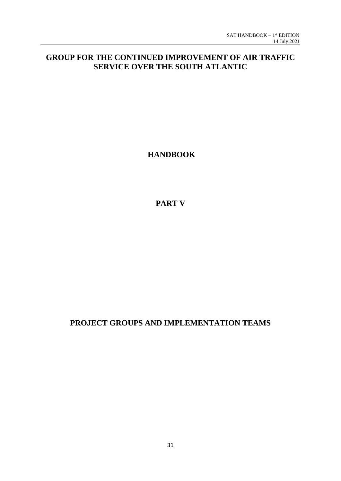## **GROUP FOR THE CONTINUED IMPROVEMENT OF AIR TRAFFIC SERVICE OVER THE SOUTH ATLANTIC**

**HANDBOOK**

**PART V**

## **PROJECT GROUPS AND IMPLEMENTATION TEAMS**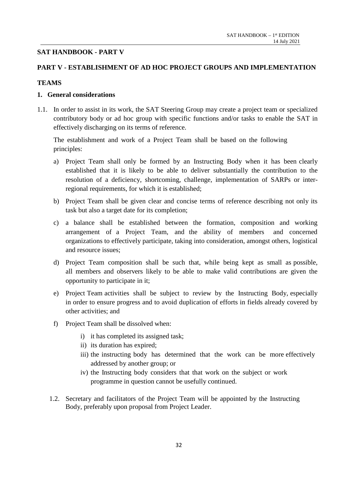#### <span id="page-32-0"></span>**SAT HANDBOOK - PART V**

#### <span id="page-32-1"></span>**PART V - ESTABLISHMENT OF AD HOC PROJECT GROUPS AND IMPLEMENTATION**

#### <span id="page-32-2"></span>**TEAMS**

#### <span id="page-32-3"></span>**1. General considerations**

1.1. In order to assist in its work, the SAT Steering Group may create a project team or specialized contributory body or ad hoc group with specific functions and/or tasks to enable the SAT in effectively discharging on its terms of reference.

The establishment and work of a Project Team shall be based on the following principles:

- a) Project Team shall only be formed by an Instructing Body when it has been clearly established that it is likely to be able to deliver substantially the contribution to the resolution of a deficiency, shortcoming, challenge, implementation of SARPs or interregional requirements, for which it is established;
- b) Project Team shall be given clear and concise terms of reference describing not only its task but also a target date for its completion;
- c) a balance shall be established between the formation, composition and working arrangement of a Project Team, and the ability of members and concerned organizations to effectively participate, taking into consideration, amongst others, logistical and resource issues;
- d) Project Team composition shall be such that, while being kept as small as possible, all members and observers likely to be able to make valid contributions are given the opportunity to participate in it;
- e) Project Team activities shall be subject to review by the Instructing Body, especially in order to ensure progress and to avoid duplication of efforts in fields already covered by other activities; and
- f) Project Team shall be dissolved when:
	- i) it has completed its assigned task;
	- ii) its duration has expired;
	- iii) the instructing body has determined that the work can be more effectively addressed by another group; or
	- iv) the Instructing body considers that that work on the subject or work programme in question cannot be usefully continued.
- 1.2. Secretary and facilitators of the Project Team will be appointed by the Instructing Body, preferably upon proposal from Project Leader.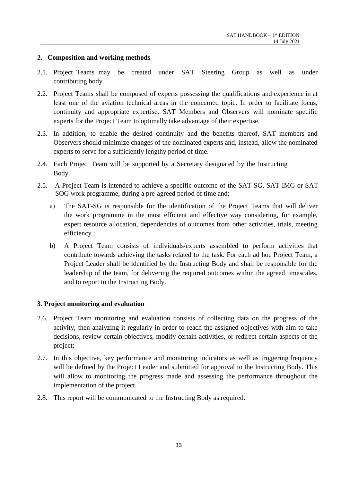#### <span id="page-33-0"></span>**2. Composition and working methods**

- 2.1. Project Teams may be created under SAT Steering Group as well as under contributing body.
- 2.2. Project Teams shall be composed of experts possessing the qualifications and experience in at least one of the aviation technical areas in the concerned topic. In order to facilitate focus, continuity and appropriate expertise, SAT Members and Observers will nominate specific experts for the Project Team to optimally take advantage of their expertise.
- 2.3. In addition, to enable the desired continuity and the benefits thereof, SAT members and Observers should minimize changes of the nominated experts and, instead, allow the nominated experts to serve for a sufficiently lengthy period of time.
- 2.4. Each Project Team will be supported by a Secretary designated by the Instructing Body.
- 2.5. A Project Team is intended to achieve a specific outcome of the SAT-SG, SAT-IMG or SAT-SOG work programme, during a pre-agreed period of time and;
	- a) The SAT-SG is responsible for the identification of the Project Teams that will deliver the work programme in the most efficient and effective way considering, for example, expert resource allocation, dependencies of outcomes from other activities, trials, meeting efficiency ;
	- b) A Project Team consists of individuals/experts assembled to perform activities that contribute towards achieving the tasks related to the task. For each ad hoc Project Team, a Project Leader shall be identified by the Instructing Body and shall be responsible for the leadership of the team, for delivering the required outcomes within the agreed timescales, and to report to the Instructing Body.

#### <span id="page-33-1"></span>**3. Project monitoring and evaluation**

- 2.6. Project Team monitoring and evaluation consists of collecting data on the progress of the activity, then analyzing it regularly in order to reach the assigned objectives with aim to take decisions, review certain objectives, modify certain activities, or redirect certain aspects of the project;
- 2.7. In this objective, key performance and monitoring indicators as well as triggering frequency will be defined by the Project Leader and submitted for approval to the Instructing Body. This will allow to monitoring the progress made and assessing the performance throughout the implementation of the project.
- 2.8. This report will be communicated to the Instructing Body as required.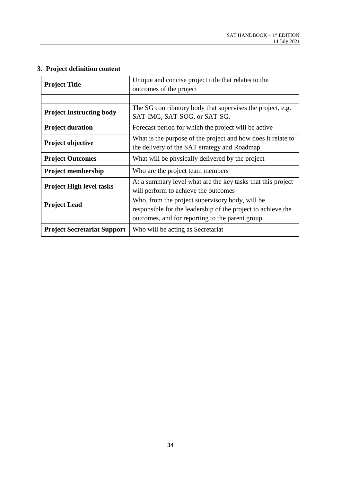<span id="page-34-0"></span>

|  | 3. Project definition content |
|--|-------------------------------|
|--|-------------------------------|

| <b>Project Title</b>               | Unique and concise project title that relates to the<br>outcomes of the project                                                                                     |  |  |
|------------------------------------|---------------------------------------------------------------------------------------------------------------------------------------------------------------------|--|--|
|                                    |                                                                                                                                                                     |  |  |
| <b>Project Instructing body</b>    | The SG contributory body that supervises the project, e.g.<br>SAT-IMG, SAT-SOG, or SAT-SG.                                                                          |  |  |
| <b>Project duration</b>            | Forecast period for which the project will be active                                                                                                                |  |  |
| <b>Project objective</b>           | What is the purpose of the project and how does it relate to<br>the delivery of the SAT strategy and Roadmap                                                        |  |  |
| <b>Project Outcomes</b>            | What will be physically delivered by the project                                                                                                                    |  |  |
| <b>Project membership</b>          | Who are the project team members                                                                                                                                    |  |  |
| <b>Project High level tasks</b>    | At a summary level what are the key tasks that this project<br>will perform to achieve the outcomes                                                                 |  |  |
| <b>Project Lead</b>                | Who, from the project supervisory body, will be<br>responsible for the leadership of the project to achieve the<br>outcomes, and for reporting to the parent group. |  |  |
| <b>Project Secretariat Support</b> | Who will be acting as Secretariat                                                                                                                                   |  |  |